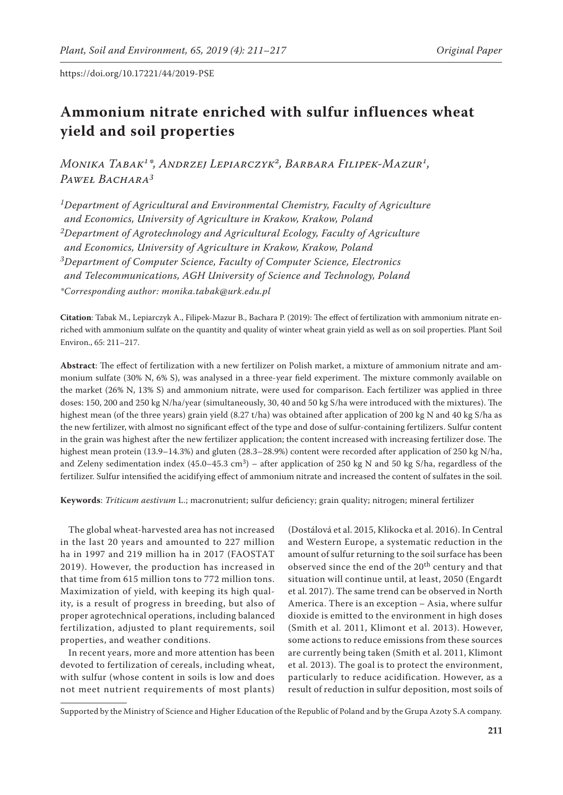# **Ammonium nitrate enriched with sulfur influences wheat yield and soil properties**

*Monika Tabak1\*, Andrzej Lepiarczyk2, Barbara Filipek-Mazur1, Paweł Bachara<sup>3</sup>*

*1Department of Agricultural and Environmental Chemistry, Faculty of Agriculture and Economics, University of Agriculture in Krakow, Krakow, Poland 2Department of Agrotechnology and Agricultural Ecology, Faculty of Agriculture and Economics, University of Agriculture in Krakow, Krakow, Poland 3Department of Computer Science, Faculty of Computer Science, Electronics and Telecommunications, AGH University of Science and Technology, Poland \*Corresponding author: monika.tabak@urk.edu.pl*

**Citation**: Tabak M., Lepiarczyk A., Filipek-Mazur B., Bachara P. (2019): The effect of fertilization with ammonium nitrate enriched with ammonium sulfate on the quantity and quality of winter wheat grain yield as well as on soil properties. Plant Soil Environ., 65: 211–217.

**Abstract**: The effect of fertilization with a new fertilizer on Polish market, a mixture of ammonium nitrate and ammonium sulfate (30% N, 6% S), was analysed in a three-year field experiment. The mixture commonly available on the market (26% N, 13% S) and ammonium nitrate, were used for comparison. Each fertilizer was applied in three doses: 150, 200 and 250 kg N/ha/year (simultaneously, 30, 40 and 50 kg S/ha were introduced with the mixtures). The highest mean (of the three years) grain yield (8.27 t/ha) was obtained after application of 200 kg N and 40 kg S/ha as the new fertilizer, with almost no significant effect of the type and dose of sulfur-containing fertilizers. Sulfur content in the grain was highest after the new fertilizer application; the content increased with increasing fertilizer dose. The highest mean protein (13.9–14.3%) and gluten (28.3–28.9%) content were recorded after application of 250 kg N/ha, and Zeleny sedimentation index (45.0–45.3 cm<sup>3</sup>) – after application of 250 kg N and 50 kg S/ha, regardless of the fertilizer. Sulfur intensified the acidifying effect of ammonium nitrate and increased the content of sulfates in the soil.

**Keywords**: *Triticum aestivum* L.; macronutrient; sulfur deficiency; grain quality; nitrogen; mineral fertilizer

The global wheat-harvested area has not increased in the last 20 years and amounted to 227 million ha in 1997 and 219 million ha in 2017 (FAOSTAT 2019). However, the production has increased in that time from 615 million tons to 772 million tons. Maximization of yield, with keeping its high quality, is a result of progress in breeding, but also of proper agrotechnical operations, including balanced fertilization, adjusted to plant requirements, soil properties, and weather conditions.

In recent years, more and more attention has been devoted to fertilization of cereals, including wheat, with sulfur (whose content in soils is low and does not meet nutrient requirements of most plants)

(Dostálová et al. 2015, Klikocka et al. 2016). In Central and Western Europe, a systematic reduction in the amount of sulfur returning to the soil surface has been observed since the end of the 20<sup>th</sup> century and that situation will continue until, at least, 2050 (Engardt et al. 2017). The same trend can be observed in North America. There is an exception – Asia, where sulfur dioxide is emitted to the environment in high doses (Smith et al. 2011, Klimont et al. 2013). However, some actions to reduce emissions from these sources are currently being taken (Smith et al. 2011, Klimont et al. 2013). The goal is to protect the environment, particularly to reduce acidification. However, as a result of reduction in sulfur deposition, most soils of

Supported by the Ministry of Science and Higher Education of the Republic of Poland and by the Grupa Azoty S.A company.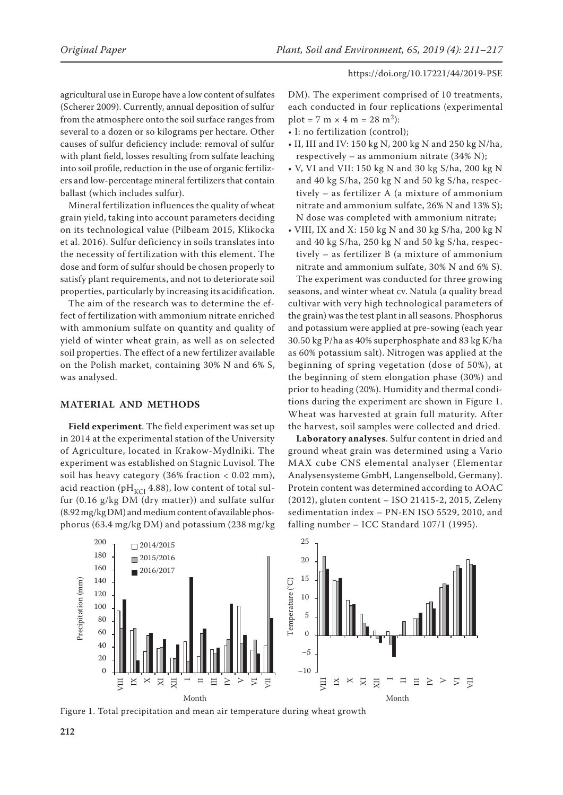agricultural use in Europe have a low content of sulfates (Scherer 2009). Currently, annual deposition of sulfur from the atmosphere onto the soil surface ranges from several to a dozen or so kilograms per hectare. Other causes of sulfur deficiency include: removal of sulfur with plant field, losses resulting from sulfate leaching into soil profile, reduction in the use of organic fertilizers and low-percentage mineral fertilizers that contain ballast (which includes sulfur).

Mineral fertilization influences the quality of wheat grain yield, taking into account parameters deciding on its technological value (Pilbeam 2015, Klikocka et al. 2016). Sulfur deficiency in soils translates into the necessity of fertilization with this element. The dose and form of sulfur should be chosen properly to satisfy plant requirements, and not to deteriorate soil properties, particularly by increasing its acidification.

The aim of the research was to determine the effect of fertilization with ammonium nitrate enriched with ammonium sulfate on quantity and quality of yield of winter wheat grain, as well as on selected soil properties. The effect of a new fertilizer available on the Polish market, containing 30% N and 6% S, was analysed.

## **MATERIAL AND METHODS**

**Field experiment**. The field experiment was set up in 2014 at the experimental station of the University of Agriculture, located in Krakow-Mydlniki. The experiment was established on Stagnic Luvisol. The soil has heavy category (36% fraction < 0.02 mm), acid reaction (pH $_{\text{KCl}}$  4.88), low content of total sulfur (0.16 g/kg DM (dry matter)) and sulfate sulfur (8.92 mg/kg DM) and medium content of available phosphorus (63.4 mg/kg DM) and potassium (238 mg/kg

DM). The experiment comprised of 10 treatments, each conducted in four replications (experimental plot = 7 m  $\times$  4 m = 28 m<sup>2</sup>):

- I: no fertilization (control);
- II, III and IV: 150 kg N, 200 kg N and 250 kg N/ha, respectively – as ammonium nitrate (34% N);
- V, VI and VII: 150 kg N and 30 kg S/ha, 200 kg N and 40 kg S/ha, 250 kg N and 50 kg S/ha, respectively – as fertilizer A (a mixture of ammonium nitrate and ammonium sulfate, 26% N and 13% S); N dose was completed with ammonium nitrate;
- VIII, IX and X: 150 kg N and 30 kg S/ha, 200 kg N and 40 kg S/ha, 250 kg N and 50 kg S/ha, respectively – as fertilizer B (a mixture of ammonium nitrate and ammonium sulfate, 30% N and 6% S).

The experiment was conducted for three growing seasons, and winter wheat cv. Natula (a quality bread cultivar with very high technological parameters of the grain) was the test plant in all seasons. Phosphorus and potassium were applied at pre-sowing (each year 30.50 kg P/ha as 40% superphosphate and 83 kg K/ha as 60% potassium salt). Nitrogen was applied at the beginning of spring vegetation (dose of 50%), at the beginning of stem elongation phase (30%) and prior to heading (20%). Humidity and thermal conditions during the experiment are shown in Figure 1. Wheat was harvested at grain full maturity. After the harvest, soil samples were collected and dried.

**Laboratory analyses**. Sulfur content in dried and ground wheat grain was determined using a Vario MAX cube CNS elemental analyser (Elementar Analysensysteme GmbH, Langenselbold, Germany). Protein content was determined according to AOAC (2012), gluten content – ISO 21415-2, 2015, Zeleny sedimentation index – PN-EN ISO 5529, 2010, and Falling number – ICC Standard 107/1 (1995).



Figure 1. Total precipitation and mean air temperature during wheat growth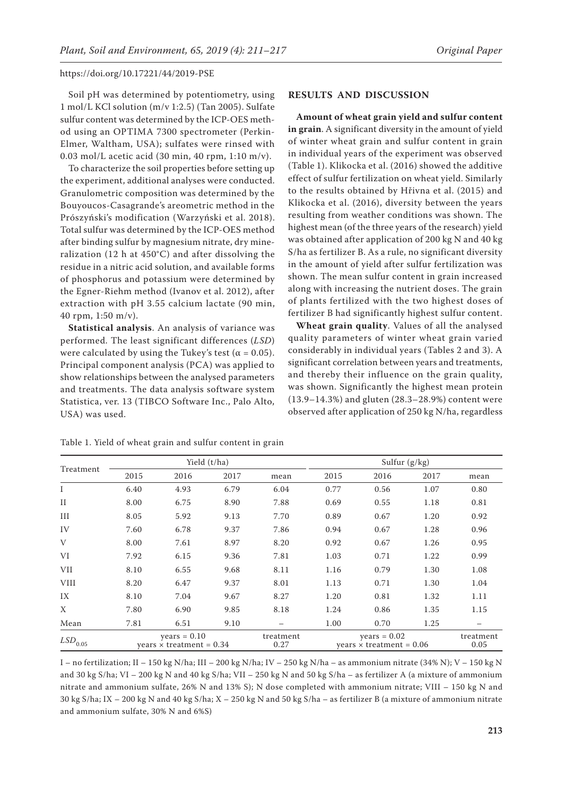Soil pH was determined by potentiometry, using 1 mol/L KCl solution (m/v 1:2.5) (Tan 2005). Sulfate sulfur content was determined by the ICP-OES method using an OPTIMA 7300 spectrometer (Perkin-Elmer, Waltham, USA); sulfates were rinsed with 0.03 mol/L acetic acid (30 min, 40 rpm, 1:10 m/v).

To characterize the soil properties before setting up the experiment, additional analyses were conducted. Granulometric composition was determined by the Bouyoucos-Casagrande's areometric method in the Prószyński's modification (Warzyński et al. 2018). Total sulfur was determined by the ICP-OES method after binding sulfur by magnesium nitrate, dry mineralization (12 h at 450°C) and after dissolving the residue in a nitric acid solution, and available forms of phosphorus and potassium were determined by the Egner-Riehm method (Ivanov et al. 2012), after extraction with pH 3.55 calcium lactate (90 min, 40 rpm, 1:50 m/v).

**Statistical analysis**. An analysis of variance was performed. The least significant differences (*LSD*) were calculated by using the Tukey's test ( $\alpha = 0.05$ ). Principal component analysis (PCA) was applied to show relationships between the analysed parameters and treatments. The data analysis software system Statistica, ver. 13 (TIBCO Software Inc., Palo Alto, USA) was used.

#### **RESULTS AND DISCUSSION**

**Amount of wheat grain yield and sulfur content in grain**. A significant diversity in the amount of yield of winter wheat grain and sulfur content in grain in individual years of the experiment was observed (Table 1). Klikocka et al. (2016) showed the additive effect of sulfur fertilization on wheat yield. Similarly to the results obtained by Hřivna et al. (2015) and Klikocka et al. (2016), diversity between the years resulting from weather conditions was shown. The highest mean (of the three years of the research) yield was obtained after application of 200 kg N and 40 kg S/ha as fertilizer B. As a rule, no significant diversity in the amount of yield after sulfur fertilization was shown. The mean sulfur content in grain increased along with increasing the nutrient doses. The grain of plants fertilized with the two highest doses of fertilizer B had significantly highest sulfur content.

**Wheat grain quality**. Values of all the analysed quality parameters of winter wheat grain varied considerably in individual years (Tables 2 and 3). A significant correlation between years and treatments, and thereby their influence on the grain quality, was shown. Significantly the highest mean protein (13.9–14.3%) and gluten (28.3–28.9%) content were observed after application of 250 kg N/ha, regardless

| Treatment    | Yield (t/ha)                                      |      |      |                   | Sulfur $(g/kg)$                                   |      |      |                   |
|--------------|---------------------------------------------------|------|------|-------------------|---------------------------------------------------|------|------|-------------------|
|              | 2015                                              | 2016 | 2017 | mean              | 2015                                              | 2016 | 2017 | mean              |
| I            | 6.40                                              | 4.93 | 6.79 | 6.04              | 0.77                                              | 0.56 | 1.07 | 0.80              |
| $\rm II$     | 8.00                                              | 6.75 | 8.90 | 7.88              | 0.69                                              | 0.55 | 1.18 | 0.81              |
| Ш            | 8.05                                              | 5.92 | 9.13 | 7.70              | 0.89                                              | 0.67 | 1.20 | 0.92              |
| IV           | 7.60                                              | 6.78 | 9.37 | 7.86              | 0.94                                              | 0.67 | 1.28 | 0.96              |
| V            | 8.00                                              | 7.61 | 8.97 | 8.20              | 0.92                                              | 0.67 | 1.26 | 0.95              |
| VI           | 7.92                                              | 6.15 | 9.36 | 7.81              | 1.03                                              | 0.71 | 1.22 | 0.99              |
| VII          | 8.10                                              | 6.55 | 9.68 | 8.11              | 1.16                                              | 0.79 | 1.30 | 1.08              |
| <b>VIII</b>  | 8.20                                              | 6.47 | 9.37 | 8.01              | 1.13                                              | 0.71 | 1.30 | 1.04              |
| IX           | 8.10                                              | 7.04 | 9.67 | 8.27              | 1.20                                              | 0.81 | 1.32 | 1.11              |
| X            | 7.80                                              | 6.90 | 9.85 | 8.18              | 1.24                                              | 0.86 | 1.35 | 1.15              |
| Mean         | 7.81                                              | 6.51 | 9.10 |                   | 1.00                                              | 0.70 | 1.25 |                   |
| $LSD_{0.05}$ | $years = 0.10$<br>years $\times$ treatment = 0.34 |      |      | treatment<br>0.27 | $years = 0.02$<br>years $\times$ treatment = 0.06 |      |      | treatment<br>0.05 |

Table 1. Yield of wheat grain and sulfur content in grain

I – no fertilization; II – 150 kg N/ha; III – 200 kg N/ha; IV – 250 kg N/ha – as ammonium nitrate (34% N); V – 150 kg N and 30 kg S/ha; VI – 200 kg N and 40 kg S/ha; VII – 250 kg N and 50 kg S/ha – as fertilizer A (a mixture of ammonium nitrate and ammonium sulfate, 26% N and 13% S); N dose completed with ammonium nitrate; VIII – 150 kg N and 30 kg S/ha; IX – 200 kg N and 40 kg S/ha; X – 250 kg N and 50 kg S/ha – as fertilizer B (a mixture of ammonium nitrate and ammonium sulfate, 30% N and 6%S)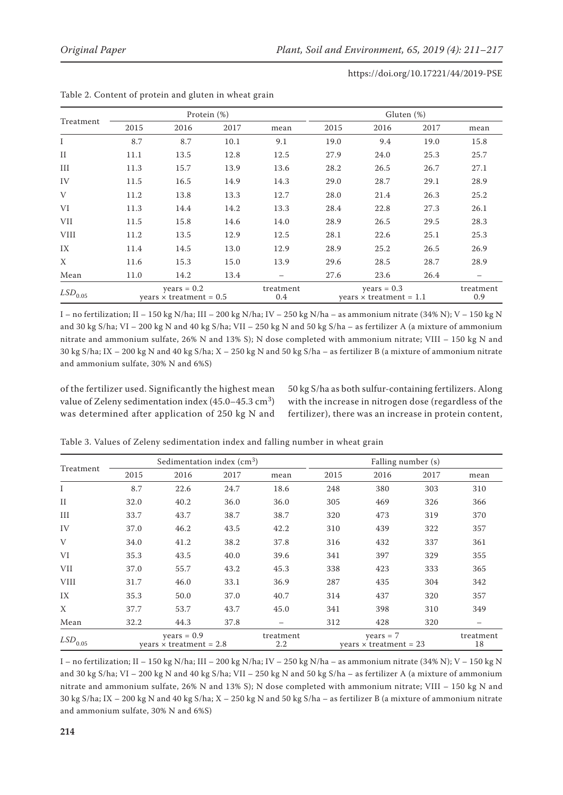| Treatment             | Protein $(\%)$                                  |      |      |                  | Gluten (%)                                      |      |      |                  |
|-----------------------|-------------------------------------------------|------|------|------------------|-------------------------------------------------|------|------|------------------|
|                       | 2015                                            | 2016 | 2017 | mean             | 2015                                            | 2016 | 2017 | mean             |
| $\mathbf I$           | 8.7                                             | 8.7  | 10.1 | 9.1              | 19.0                                            | 9.4  | 19.0 | 15.8             |
| $\rm II$              | 11.1                                            | 13.5 | 12.8 | 12.5             | 27.9                                            | 24.0 | 25.3 | 25.7             |
| III                   | 11.3                                            | 15.7 | 13.9 | 13.6             | 28.2                                            | 26.5 | 26.7 | 27.1             |
| IV                    | 11.5                                            | 16.5 | 14.9 | 14.3             | 29.0                                            | 28.7 | 29.1 | 28.9             |
| V                     | 11.2                                            | 13.8 | 13.3 | 12.7             | 28.0                                            | 21.4 | 26.3 | 25.2             |
| VI                    | 11.3                                            | 14.4 | 14.2 | 13.3             | 28.4                                            | 22.8 | 27.3 | 26.1             |
| <b>VII</b>            | 11.5                                            | 15.8 | 14.6 | 14.0             | 28.9                                            | 26.5 | 29.5 | 28.3             |
| <b>VIII</b>           | 11.2                                            | 13.5 | 12.9 | 12.5             | 28.1                                            | 22.6 | 25.1 | 25.3             |
| IX                    | 11.4                                            | 14.5 | 13.0 | 12.9             | 28.9                                            | 25.2 | 26.5 | 26.9             |
| $\mathbf{X}$          | 11.6                                            | 15.3 | 15.0 | 13.9             | 29.6                                            | 28.5 | 28.7 | 28.9             |
| Mean                  | 11.0                                            | 14.2 | 13.4 |                  | 27.6                                            | 23.6 | 26.4 |                  |
| $LSD$ <sub>0.05</sub> | $years = 0.2$<br>years $\times$ treatment = 0.5 |      |      | treatment<br>0.4 | $years = 0.3$<br>years $\times$ treatment = 1.1 |      |      | treatment<br>0.9 |

Table 2. Content of protein and gluten in wheat grain

I – no fertilization; II – 150 kg N/ha; III – 200 kg N/ha; IV – 250 kg N/ha – as ammonium nitrate (34% N); V – 150 kg N and 30 kg S/ha; VI – 200 kg N and 40 kg S/ha; VII – 250 kg N and 50 kg S/ha – as fertilizer A (a mixture of ammonium nitrate and ammonium sulfate, 26% N and 13% S); N dose completed with ammonium nitrate; VIII – 150 kg N and 30 kg S/ha; IX – 200 kg N and 40 kg S/ha; X – 250 kg N and 50 kg S/ha – as fertilizer B (a mixture of ammonium nitrate and ammonium sulfate, 30% N and 6%S)

of the fertilizer used. Significantly the highest mean value of Zeleny sedimentation index  $(45.0-45.3 \text{ cm}^3)$ was determined after application of 250 kg N and 50 kg S/ha as both sulfur-containing fertilizers. Along with the increase in nitrogen dose (regardless of the fertilizer), there was an increase in protein content,

| Treatment    | Sedimentation index $(cm3)$                     |      |      |                  | Falling number (s)                           |      |      |                 |
|--------------|-------------------------------------------------|------|------|------------------|----------------------------------------------|------|------|-----------------|
|              | 2015                                            | 2016 | 2017 | mean             | 2015                                         | 2016 | 2017 | mean            |
| $\bf{I}$     | 8.7                                             | 22.6 | 24.7 | 18.6             | 248                                          | 380  | 303  | 310             |
| $\rm II$     | 32.0                                            | 40.2 | 36.0 | 36.0             | 305                                          | 469  | 326  | 366             |
| Ш            | 33.7                                            | 43.7 | 38.7 | 38.7             | 320                                          | 473  | 319  | 370             |
| IV           | 37.0                                            | 46.2 | 43.5 | 42.2             | 310                                          | 439  | 322  | 357             |
| V            | 34.0                                            | 41.2 | 38.2 | 37.8             | 316                                          | 432  | 337  | 361             |
| VI           | 35.3                                            | 43.5 | 40.0 | 39.6             | 341                                          | 397  | 329  | 355             |
| <b>VII</b>   | 37.0                                            | 55.7 | 43.2 | 45.3             | 338                                          | 423  | 333  | 365             |
| <b>VIII</b>  | 31.7                                            | 46.0 | 33.1 | 36.9             | 287                                          | 435  | 304  | 342             |
| IX           | 35.3                                            | 50.0 | 37.0 | 40.7             | 314                                          | 437  | 320  | 357             |
| X            | 37.7                                            | 53.7 | 43.7 | 45.0             | 341                                          | 398  | 310  | 349             |
| Mean         | 32.2                                            | 44.3 | 37.8 |                  | 312                                          | 428  | 320  |                 |
| $LSD_{0.05}$ | $years = 0.9$<br>years $\times$ treatment = 2.8 |      |      | treatment<br>2.2 | $years = 7$<br>years $\times$ treatment = 23 |      |      | treatment<br>18 |

Table 3. Values of Zeleny sedimentation index and falling number in wheat grain

I – no fertilization; II – 150 kg N/ha; III – 200 kg N/ha; IV – 250 kg N/ha – as ammonium nitrate (34% N); V – 150 kg N and 30 kg S/ha; VI – 200 kg N and 40 kg S/ha; VII – 250 kg N and 50 kg S/ha – as fertilizer A (a mixture of ammonium nitrate and ammonium sulfate, 26% N and 13% S); N dose completed with ammonium nitrate; VIII – 150 kg N and 30 kg S/ha; IX – 200 kg N and 40 kg S/ha; X – 250 kg N and 50 kg S/ha – as fertilizer B (a mixture of ammonium nitrate and ammonium sulfate, 30% N and 6%S)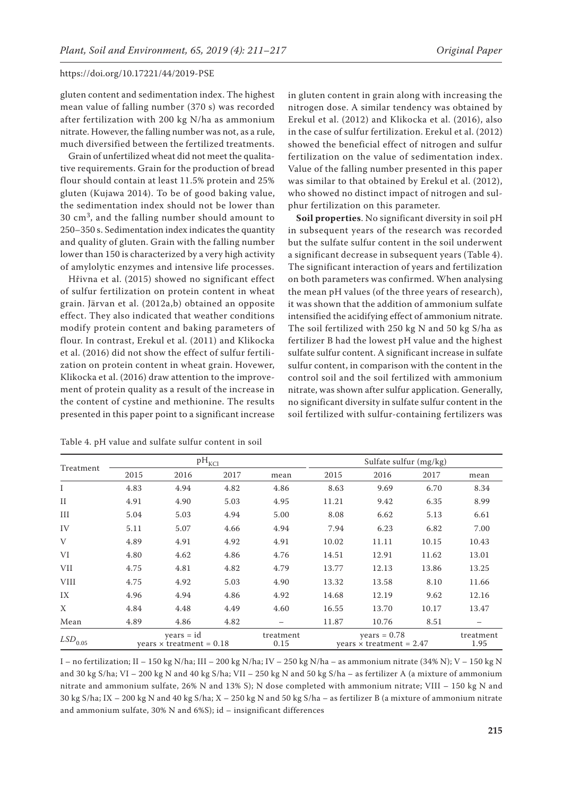gluten content and sedimentation index. The highest mean value of falling number (370 s) was recorded after fertilization with 200 kg N/ha as ammonium nitrate. However, the falling number was not, as a rule, much diversified between the fertilized treatments.

Grain of unfertilized wheat did not meet the qualitative requirements. Grain for the production of bread flour should contain at least 11.5% protein and 25% gluten (Kujawa 2014). To be of good baking value, the sedimentation index should not be lower than 30 cm3, and the falling number should amount to 250–350 s. Sedimentation index indicates the quantity and quality of gluten. Grain with the falling number lower than 150 is characterized by a very high activity of amylolytic enzymes and intensive life processes.

Hřivna et al. (2015) showed no significant effect of sulfur fertilization on protein content in wheat grain. Järvan et al. (2012a,b) obtained an opposite effect. They also indicated that weather conditions modify protein content and baking parameters of flour. In contrast, Erekul et al. (2011) and Klikocka et al. (2016) did not show the effect of sulfur fertilization on protein content in wheat grain. Hovewer, Klikocka et al. (2016) draw attention to the improvement of protein quality as a result of the increase in the content of cystine and methionine. The results presented in this paper point to a significant increase

in gluten content in grain along with increasing the nitrogen dose. A similar tendency was obtained by Erekul et al. (2012) and Klikocka et al. (2016), also in the case of sulfur fertilization. Erekul et al. (2012) showed the beneficial effect of nitrogen and sulfur fertilization on the value of sedimentation index. Value of the falling number presented in this paper was similar to that obtained by Erekul et al. (2012), who showed no distinct impact of nitrogen and sulphur fertilization on this parameter.

**Soil properties**. No significant diversity in soil pH in subsequent years of the research was recorded but the sulfate sulfur content in the soil underwent a significant decrease in subsequent years (Table 4). The significant interaction of years and fertilization on both parameters was confirmed. When analysing the mean pH values (of the three years of research), it was shown that the addition of ammonium sulfate intensified the acidifying effect of ammonium nitrate. The soil fertilized with 250 kg N and 50 kg S/ha as fertilizer B had the lowest pH value and the highest sulfate sulfur content. A significant increase in sulfate sulfur content, in comparison with the content in the control soil and the soil fertilized with ammonium nitrate, was shown after sulfur application. Generally, no significant diversity in sulfate sulfur content in the soil fertilized with sulfur-containing fertilizers was

| Treatment    | $pH_{KCl}$                                      |      |      |                   | Sulfate sulfur (mg/kg)                            |       |       |                   |
|--------------|-------------------------------------------------|------|------|-------------------|---------------------------------------------------|-------|-------|-------------------|
|              | 2015                                            | 2016 | 2017 | mean              | 2015                                              | 2016  | 2017  | mean              |
| I            | 4.83                                            | 4.94 | 4.82 | 4.86              | 8.63                                              | 9.69  | 6.70  | 8.34              |
| $\mathbf{H}$ | 4.91                                            | 4.90 | 5.03 | 4.95              | 11.21                                             | 9.42  | 6.35  | 8.99              |
| III          | 5.04                                            | 5.03 | 4.94 | 5.00              | 8.08                                              | 6.62  | 5.13  | 6.61              |
| IV           | 5.11                                            | 5.07 | 4.66 | 4.94              | 7.94                                              | 6.23  | 6.82  | 7.00              |
| V            | 4.89                                            | 4.91 | 4.92 | 4.91              | 10.02                                             | 11.11 | 10.15 | 10.43             |
| VI           | 4.80                                            | 4.62 | 4.86 | 4.76              | 14.51                                             | 12.91 | 11.62 | 13.01             |
| VII          | 4.75                                            | 4.81 | 4.82 | 4.79              | 13.77                                             | 12.13 | 13.86 | 13.25             |
| <b>VIII</b>  | 4.75                                            | 4.92 | 5.03 | 4.90              | 13.32                                             | 13.58 | 8.10  | 11.66             |
| IX           | 4.96                                            | 4.94 | 4.86 | 4.92              | 14.68                                             | 12.19 | 9.62  | 12.16             |
| X            | 4.84                                            | 4.48 | 4.49 | 4.60              | 16.55                                             | 13.70 | 10.17 | 13.47             |
| Mean         | 4.89                                            | 4.86 | 4.82 |                   | 11.87                                             | 10.76 | 8.51  |                   |
| $LSD_{0.05}$ | $years = id$<br>years $\times$ treatment = 0.18 |      |      | treatment<br>0.15 | $years = 0.78$<br>years $\times$ treatment = 2.47 |       |       | treatment<br>1.95 |

Table 4. pH value and sulfate sulfur content in soil

I – no fertilization; II – 150 kg N/ha; III – 200 kg N/ha; IV – 250 kg N/ha – as ammonium nitrate (34% N); V – 150 kg N and 30 kg S/ha; VI – 200 kg N and 40 kg S/ha; VII – 250 kg N and 50 kg S/ha – as fertilizer A (a mixture of ammonium nitrate and ammonium sulfate, 26% N and 13% S); N dose completed with ammonium nitrate; VIII – 150 kg N and 30 kg S/ha; IX – 200 kg N and 40 kg S/ha; X – 250 kg N and 50 kg S/ha – as fertilizer B (a mixture of ammonium nitrate and ammonium sulfate, 30% N and 6%S); id – insignificant differences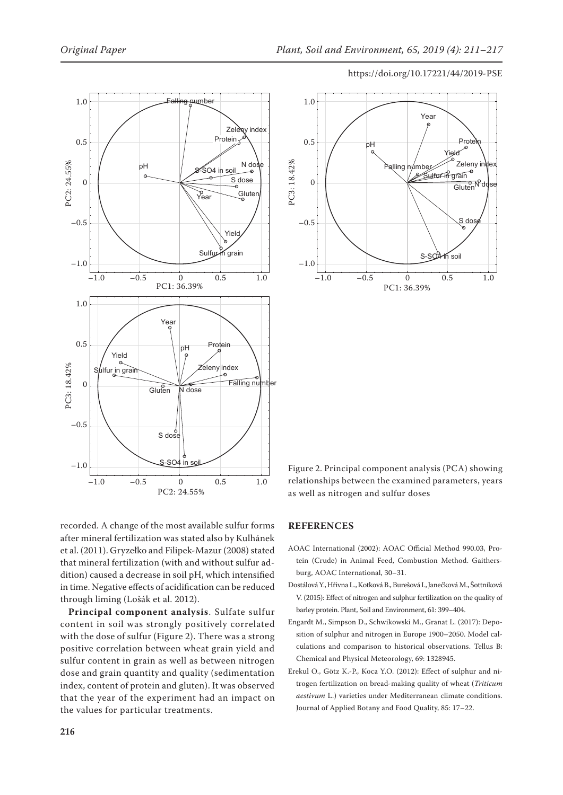



Figure 2. Principal component analysis (PCA) showing relationships between the examined parameters, years as well as nitrogen and sulfur doses

recorded. A change of the most available sulfur forms after mineral fertilization was stated also by Kulhánek et al. (2011). Gryzełko and Filipek-Mazur (2008) stated that mineral fertilization (with and without sulfur addition) caused a decrease in soil pH, which intensified in time. Negative effects of acidification can be reduced through liming (Lošák et al. 2012).

**Principal component analysis**. Sulfate sulfur content in soil was strongly positively correlated with the dose of sulfur (Figure 2). There was a strong positive correlation between wheat grain yield and sulfur content in grain as well as between nitrogen dose and grain quantity and quality (sedimentation index, content of protein and gluten). It was observed that the year of the experiment had an impact on the values for particular treatments.

# **REFERENCES**

- AOAC International (2002): AOAC Official Method 990.03, Protein (Crude) in Animal Feed, Combustion Method. Gaithersburg, AOAC International, 30–31.
- Dostálová Y., Hřivna L., Kotková B., Burešová I., Janečková M., Šottníková V. (2015): Effect of nitrogen and sulphur fertilization on the quality of barley protein. Plant, Soil and Environment, 61: 399–404.
- Engardt M., Simpson D., Schwikowski M., Granat L. (2017): Deposition of sulphur and nitrogen in Europe 1900–2050. Model calculations and comparison to historical observations. Tellus B: Chemical and Physical Meteorology, 69: 1328945.
- Erekul O., Götz K.-P., Koca Y.O. (2012): Effect of sulphur and nitrogen fertilization on bread-making quality of wheat (*Triticum aestivum* L.) varieties under Mediterranean climate conditions. Journal of Applied Botany and Food Quality, 85: 17–22.